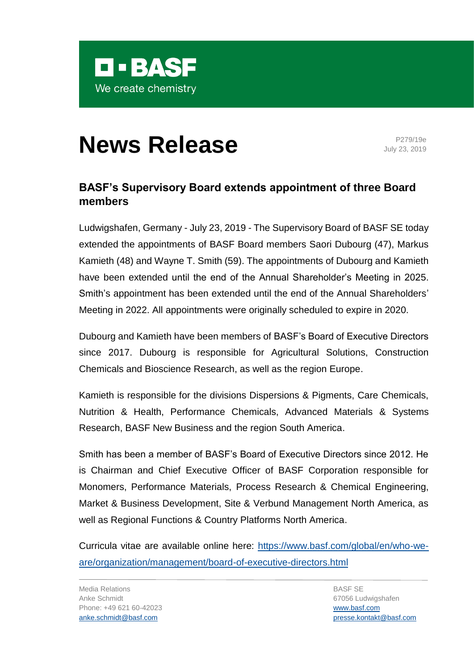

## **News Release** P279/19e

July 23, 2019

## **BASF's Supervisory Board extends appointment of three Board members**

Ludwigshafen, Germany - July 23, 2019 - The Supervisory Board of BASF SE today extended the appointments of BASF Board members Saori Dubourg (47), Markus Kamieth (48) and Wayne T. Smith (59). The appointments of Dubourg and Kamieth have been extended until the end of the Annual Shareholder's Meeting in 2025. Smith's appointment has been extended until the end of the Annual Shareholders' Meeting in 2022. All appointments were originally scheduled to expire in 2020.

Dubourg and Kamieth have been members of BASF's Board of Executive Directors since 2017. Dubourg is responsible for Agricultural Solutions, Construction Chemicals and Bioscience Research, as well as the region Europe.

Kamieth is responsible for the divisions Dispersions & Pigments, Care Chemicals, Nutrition & Health, Performance Chemicals, Advanced Materials & Systems Research, BASF New Business and the region South America.

Smith has been a member of BASF's Board of Executive Directors since 2012. He is Chairman and Chief Executive Officer of BASF Corporation responsible for Monomers, Performance Materials, Process Research & Chemical Engineering, Market & Business Development, Site & Verbund Management North America, as well as Regional Functions & Country Platforms North America.

Curricula vitae are available online here: [https://www.basf.com/global/en/who-we](https://www.basf.com/global/en/who-we-are/organization/management/board-of-executive-directors.html)[are/organization/management/board-of-executive-directors.html](https://www.basf.com/global/en/who-we-are/organization/management/board-of-executive-directors.html)